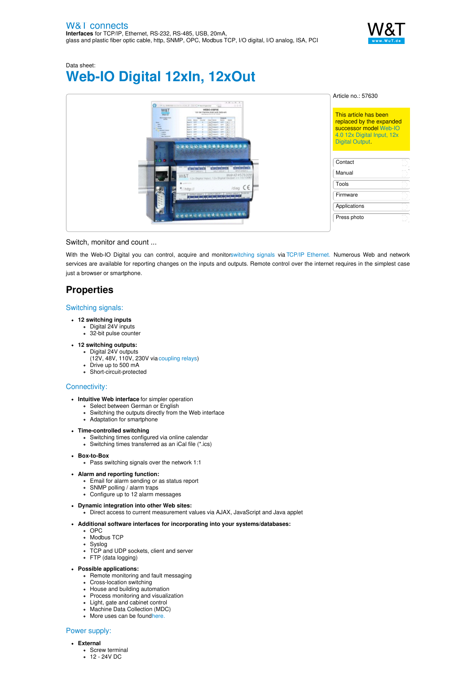

# Data sheet: **Web-IO Digital 12xIn, 12xOut**

| $+ 81 - 8 - 8$<br>West MAXIMUM to fund the ATA 1 manufacturer<br>0.0.0                                                                                                                                                                   | Article no.: 57630                                                                                        |
|------------------------------------------------------------------------------------------------------------------------------------------------------------------------------------------------------------------------------------------|-----------------------------------------------------------------------------------------------------------|
| W&T<br>WEEKS-05BF1E<br>Von der Klenme direkt aufs Nationen<br><b>WALK AND</b><br>Australian Suite & Co. Include<br><b>BARTAGE SET</b><br><b>Select</b><br><b>Designation Contract</b><br>Louise<br><b>Building</b><br><b>Was Danmark</b> | This article has been<br>replaced by the expanded<br>successor model Web-IO<br>4.0 12x Digital Input, 12x |
| 1010.01<br>WAY GROUP 2<br><b>GALIA CRIVES</b><br><b>HAVE LINEARS</b><br>Web-IO #57630M<br>W&T<br>@ justice and<br>$1$ diag $C \in$<br>* http://<br>+ DOR   INTRY DROP   DIPPLY DOUB   DYPER DROP   EXPIRE<br><b>CERSONALESSOREE</b>      | <b>Digital Output</b><br>D<br>Contact<br>en, h<br>Manual                                                  |
|                                                                                                                                                                                                                                          | ίľ<br>Tools<br>CTL.<br>$L = 1$<br>ch,                                                                     |
|                                                                                                                                                                                                                                          | Firmware<br>LΙ<br>en,<br>Applications<br>LL.                                                              |
|                                                                                                                                                                                                                                          | 5<br>Press photo                                                                                          |

## Switch, monitor and count ...

With the Web-IO Digital you can control, acquire and monitorswitching signals via TCP/IP Ethernet. Numerous Web and network services are available for reporting changes on the inputs and outputs. Remote control over the internet requires in the simplest case just a browser or smartphone.

# **Properties**

### Switching signals:

- **12 switching inputs**
	- Digital 24V inputs
	- 32-bit pulse counter
- **12 switching outputs:**
	- Digital 24V outputs
		- (12V, 48V, 110V, 230V via [coupling](https://www.wut.de/e-57015-10-daus-000.php) relays)
	- Drive up to 500 mA
	- Short-circuit-protected

#### Connectivity:

- **Intuitive Web interface** for simpler operation
	- Select between German or English
	- Switching the outputs directly from the Web interface Adaptation for smartphone
- **Time-controlled switching**
	- Switching times configured via online calendar
	- Switching times transferred as an iCal file (\*.ics)
- **Box-to-Box**
	- Pass switching signals over the network 1:1
- **Alarm and reporting function:**
	- Email for alarm sending or as status report
	- SNMP polling / alarm traps Configure up to 12 alarm messages

### **Dynamic integration into other Web sites:**

Direct access to current measurement values via AJAX, JavaScript and Java applet

#### **Additional software interfaces for incorporating into your systems/databases:**

- OPC
- Modbus TCP
- Syslog
- TCP and UDP sockets, client and server FTP (data logging)
- **Possible applications:**
	- Remote monitoring and fault messaging
	- Cross-location switching
	- House and building automation
	- Process monitoring and visualization
	- Light, gate and cabinet control
	- Machine Data Collection (MDC)
	- More uses can be found[here.](https://www.wut.de/e-5763w-ww-daus-000.php)

#### Power supply:

- **External**
	- Screw terminal
	- $0.12 24V$  DC